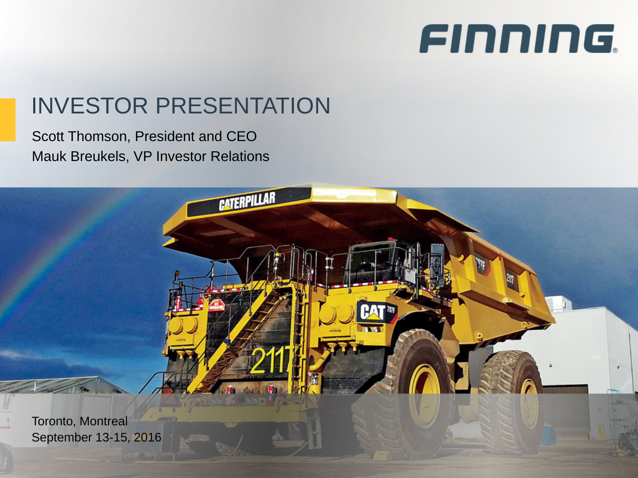# FINNING.

## INVESTOR PRESENTATION

Scott Thomson, President and CEO Mauk Breukels, VP Investor Relations

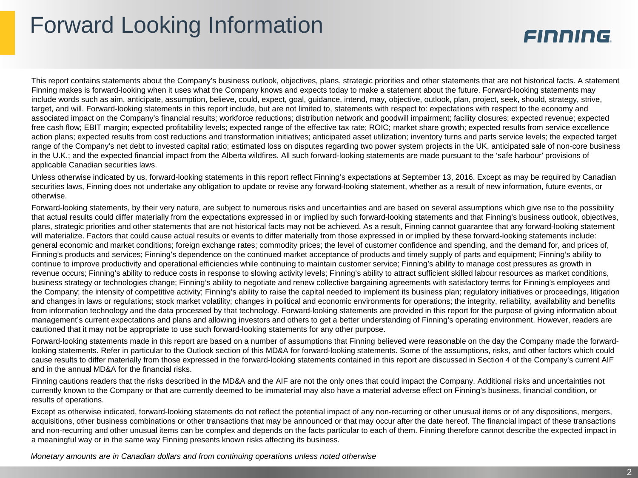## Forward Looking Information

## EINNING

This report contains statements about the Company's business outlook, objectives, plans, strategic priorities and other statements that are not historical facts. A statement Finning makes is forward-looking when it uses what the Company knows and expects today to make a statement about the future. Forward-looking statements may include words such as aim, anticipate, assumption, believe, could, expect, goal, guidance, intend, may, objective, outlook, plan, project, seek, should, strategy, strive, target, and will. Forward-looking statements in this report include, but are not limited to, statements with respect to: expectations with respect to the economy and associated impact on the Company's financial results; workforce reductions; distribution network and goodwill impairment; facility closures; expected revenue; expected free cash flow; EBIT margin; expected profitability levels; expected range of the effective tax rate; ROIC; market share growth; expected results from service excellence action plans; expected results from cost reductions and transformation initiatives; anticipated asset utilization; inventory turns and parts service levels; the expected target range of the Company's net debt to invested capital ratio; estimated loss on disputes regarding two power system projects in the UK, anticipated sale of non-core business in the U.K.; and the expected financial impact from the Alberta wildfires. All such forward-looking statements are made pursuant to the 'safe harbour' provisions of applicable Canadian securities laws.

Unless otherwise indicated by us, forward-looking statements in this report reflect Finning's expectations at September 13, 2016. Except as may be required by Canadian securities laws, Finning does not undertake any obligation to update or revise any forward-looking statement, whether as a result of new information, future events, or otherwise.

Forward-looking statements, by their very nature, are subject to numerous risks and uncertainties and are based on several assumptions which give rise to the possibility that actual results could differ materially from the expectations expressed in or implied by such forward-looking statements and that Finning's business outlook, objectives, plans, strategic priorities and other statements that are not historical facts may not be achieved. As a result, Finning cannot guarantee that any forward-looking statement will materialize. Factors that could cause actual results or events to differ materially from those expressed in or implied by these forward-looking statements include: general economic and market conditions; foreign exchange rates; commodity prices; the level of customer confidence and spending, and the demand for, and prices of, Finning's products and services; Finning's dependence on the continued market acceptance of products and timely supply of parts and equipment; Finning's ability to continue to improve productivity and operational efficiencies while continuing to maintain customer service; Finning's ability to manage cost pressures as growth in revenue occurs; Finning's ability to reduce costs in response to slowing activity levels; Finning's ability to attract sufficient skilled labour resources as market conditions, business strategy or technologies change; Finning's ability to negotiate and renew collective bargaining agreements with satisfactory terms for Finning's employees and the Company; the intensity of competitive activity; Finning's ability to raise the capital needed to implement its business plan; regulatory initiatives or proceedings, litigation and changes in laws or regulations; stock market volatility; changes in political and economic environments for operations; the integrity, reliability, availability and benefits from information technology and the data processed by that technology. Forward-looking statements are provided in this report for the purpose of giving information about management's current expectations and plans and allowing investors and others to get a better understanding of Finning's operating environment. However, readers are cautioned that it may not be appropriate to use such forward-looking statements for any other purpose.

Forward-looking statements made in this report are based on a number of assumptions that Finning believed were reasonable on the day the Company made the forwardlooking statements. Refer in particular to the Outlook section of this MD&A for forward-looking statements. Some of the assumptions, risks, and other factors which could cause results to differ materially from those expressed in the forward-looking statements contained in this report are discussed in Section 4 of the Company's current AIF and in the annual MD&A for the financial risks.

Finning cautions readers that the risks described in the MD&A and the AIF are not the only ones that could impact the Company. Additional risks and uncertainties not currently known to the Company or that are currently deemed to be immaterial may also have a material adverse effect on Finning's business, financial condition, or results of operations.

Except as otherwise indicated, forward-looking statements do not reflect the potential impact of any non-recurring or other unusual items or of any dispositions, mergers, acquisitions, other business combinations or other transactions that may be announced or that may occur after the date hereof. The financial impact of these transactions and non-recurring and other unusual items can be complex and depends on the facts particular to each of them. Finning therefore cannot describe the expected impact in a meaningful way or in the same way Finning presents known risks affecting its business.

*Monetary amounts are in Canadian dollars and from continuing operations unless noted otherwise*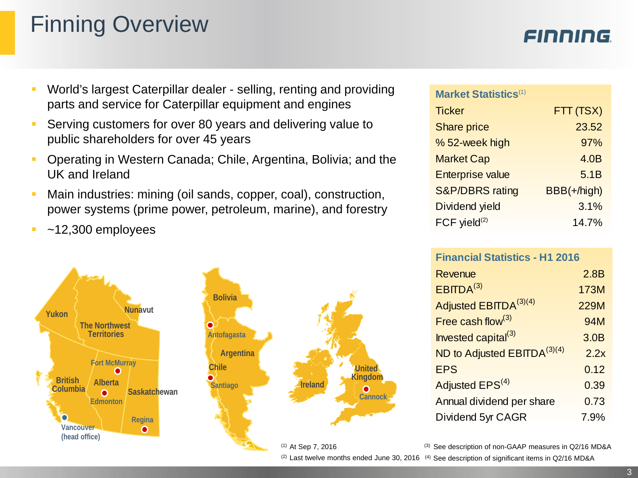## Finning Overview

## SINNILT

- World's largest Caterpillar dealer selling, renting and providing parts and service for Caterpillar equipment and engines
- Serving customers for over 80 years and delivering value to public shareholders for over 45 years
- Operating in Western Canada; Chile, Argentina, Bolivia; and the UK and Ireland
- Main industries: mining (oil sands, copper, coal), construction, power systems (prime power, petroleum, marine), and forestry
- ~12,300 employees





| <b>Market Statistics</b> <sup>(1)</sup> |  |
|-----------------------------------------|--|
|-----------------------------------------|--|

| <b>Ticker</b>              | FTT (TSX)   |
|----------------------------|-------------|
| <b>Share price</b>         | 23.52       |
| %52-week high              | 97%         |
| <b>Market Cap</b>          | 4.0B        |
| <b>Enterprise value</b>    | 5.1B        |
| <b>S&amp;P/DBRS</b> rating | BBB(+/high) |
| Dividend yield             | 3.1%        |
| FCF yield <sup>(2)</sup>   | 14.7%       |

**Financial Statistics - H1 2016**

| Revenue                                 | 2.8B        |
|-----------------------------------------|-------------|
| EBITDA <sup>(3)</sup>                   | <b>173M</b> |
| Adjusted EBITDA <sup>(3)(4)</sup>       | <b>229M</b> |
| Free cash flow <sup>(3)</sup>           | 94M         |
| Invested capital <sup>(3)</sup>         | 3.0B        |
| ND to Adjusted EBITDA <sup>(3)(4)</sup> | 2.2x        |
| <b>EPS</b>                              | 0.12        |
| Adjusted EPS <sup>(4)</sup>             | 0.39        |
| Annual dividend per share               | 0.73        |
| Dividend 5yr CAGR                       | 7.9%        |
|                                         |             |

(1) At Sep 7, 2016 (2) Last twelve months ended June 30, 2016 (4) See description of significant items in Q2/16 MD&A (3) See description of non-GAAP measures in Q2/16 MD&A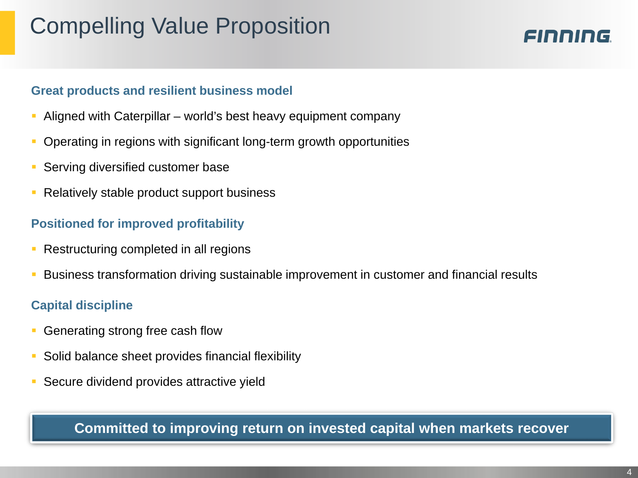## Compelling Value Proposition

### **Great products and resilient business model**

- Aligned with Caterpillar world's best heavy equipment company
- Operating in regions with significant long-term growth opportunities
- Serving diversified customer base
- Relatively stable product support business

### **Positioned for improved profitability**

- **Restructuring completed in all regions**
- **Business transformation driving sustainable improvement in customer and financial results**

### **Capital discipline**

- Generating strong free cash flow
- Solid balance sheet provides financial flexibility
- Secure dividend provides attractive yield

### **Committed to improving return on invested capital when markets recover**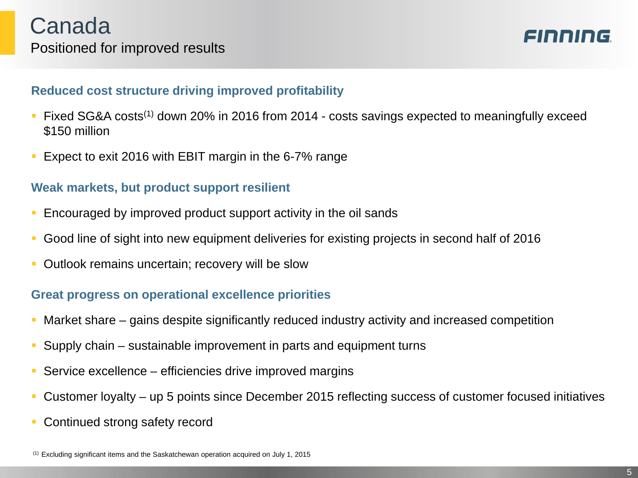### **Reduced cost structure driving improved profitability**

- Fixed SG&A costs<sup>(1)</sup> down 20% in 2016 from 2014 costs savings expected to meaningfully exceed \$150 million
- **Expect to exit 2016 with EBIT margin in the 6-7% range**

### **Weak markets, but product support resilient**

- Encouraged by improved product support activity in the oil sands
- Good line of sight into new equipment deliveries for existing projects in second half of 2016
- Outlook remains uncertain; recovery will be slow

### **Great progress on operational excellence priorities**

- Market share gains despite significantly reduced industry activity and increased competition
- Supply chain sustainable improvement in parts and equipment turns
- Service excellence efficiencies drive improved margins
- Customer loyalty up 5 points since December 2015 reflecting success of customer focused initiatives
- **Continued strong safety record**

 $<sup>(1)</sup>$  Excluding significant items and the Saskatchewan operation acquired on July 1, 2015</sup>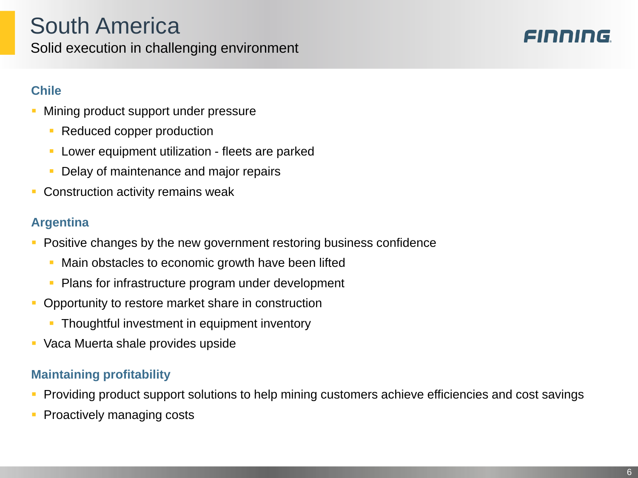## South America

Solid execution in challenging environment

### **Chile**

- Mining product support under pressure
	- Reduced copper production
	- Lower equipment utilization fleets are parked
	- **-** Delay of maintenance and major repairs
- **Construction activity remains weak**

### **Argentina**

- **Positive changes by the new government restoring business confidence** 
	- Main obstacles to economic growth have been lifted
	- **Plans for infrastructure program under development**
- Opportunity to restore market share in construction
	- Thoughtful investment in equipment inventory
- Vaca Muerta shale provides upside

### **Maintaining profitability**

- **Providing product support solutions to help mining customers achieve efficiencies and cost savings**
- **Proactively managing costs**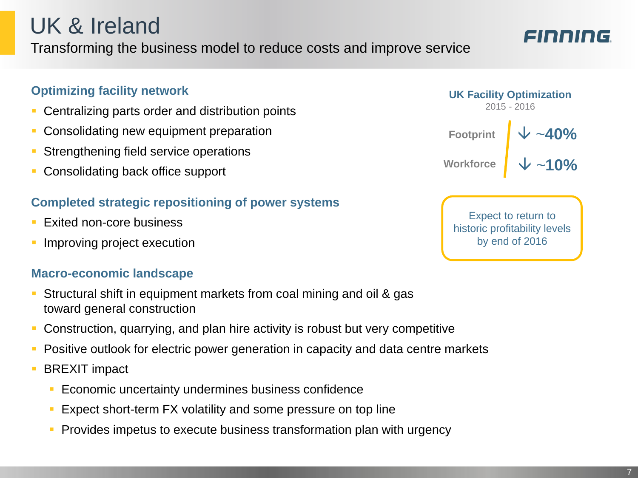## UK & Ireland

Transforming the business model to reduce costs and improve service

### **Optimizing facility network**

- Centralizing parts order and distribution points
- **Consolidating new equipment preparation**
- Strengthening field service operations
- **Consolidating back office support**

### **Completed strategic repositioning of power systems**

- Exited non-core business
- **Improving project execution**

### **Macro-economic landscape**

- Structural shift in equipment markets from coal mining and oil & gas toward general construction
- Construction, quarrying, and plan hire activity is robust but very competitive
- **Positive outlook for electric power generation in capacity and data centre markets**
- **BREXIT impact** 
	- Economic uncertainty undermines business confidence
	- Expect short-term FX volatility and some pressure on top line
	- Provides impetus to execute business transformation plan with urgency





Expect to return to historic profitability levels by end of 2016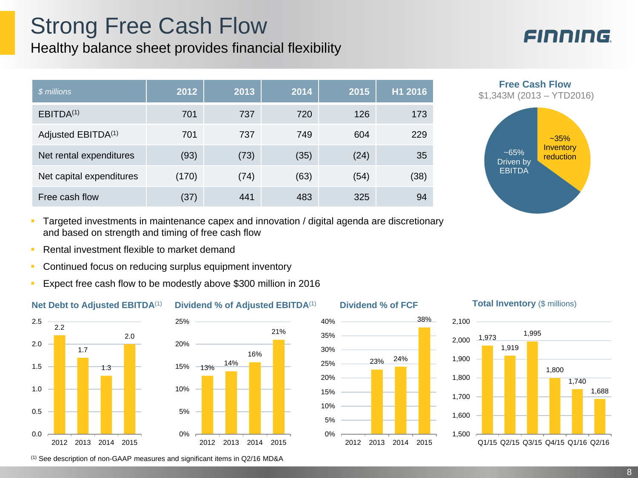## Strong Free Cash Flow

### Healthy balance sheet provides financial flexibility

## EINNING

| \$ millions                    | 2012  | 2013 | 2014 | 2015 | H1 2016 |
|--------------------------------|-------|------|------|------|---------|
| EBITDA <sup>(1)</sup>          | 701   | 737  | 720  | 126  | 173     |
| Adjusted EBITDA <sup>(1)</sup> | 701   | 737  | 749  | 604  | 229     |
| Net rental expenditures        | (93)  | (73) | (35) | (24) | 35      |
| Net capital expenditures       | (170) | (74) | (63) | (54) | (38)    |
| Free cash flow                 | (37)  | 441  | 483  | 325  | 94      |



- Targeted investments in maintenance capex and innovation / digital agenda are discretionary and based on strength and timing of free cash flow
- **Rental investment flexible to market demand**
- **Continued focus on reducing surplus equipment inventory**
- **Expect free cash flow to be modestly above \$300 million in 2016**

### **Net Debt to Adjusted EBITDA**(1)

**Dividend % of Adjusted EBITDA**(1)

### **Dividend % of FCF**











Q1/15 Q2/15 Q3/15 Q4/15 Q1/16 Q2/16

(1) See description of non-GAAP measures and significant items in Q2/16 MD&A